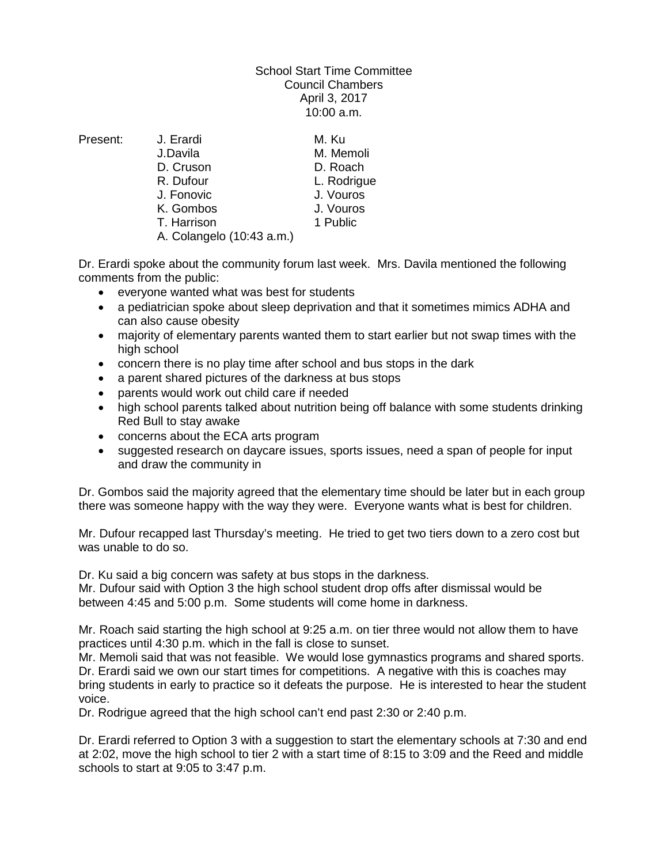## School Start Time Committee Council Chambers April 3, 2017 10:00 a.m.

Present: J. Erardi M. Ku J.Davila M. Memoli D. Cruson D. Roach R. Dufour **L. Rodrigue**<br>
J. Fonovic **J. Vouros** J. Fonovic J. Vouros K. Gombos T. Harrison 1 Public

A. Colangelo (10:43 a.m.)

Dr. Erardi spoke about the community forum last week. Mrs. Davila mentioned the following comments from the public:

- everyone wanted what was best for students
- a pediatrician spoke about sleep deprivation and that it sometimes mimics ADHA and can also cause obesity
- majority of elementary parents wanted them to start earlier but not swap times with the high school
- concern there is no play time after school and bus stops in the dark
- a parent shared pictures of the darkness at bus stops
- parents would work out child care if needed
- high school parents talked about nutrition being off balance with some students drinking Red Bull to stay awake
- concerns about the ECA arts program
- suggested research on daycare issues, sports issues, need a span of people for input and draw the community in

Dr. Gombos said the majority agreed that the elementary time should be later but in each group there was someone happy with the way they were. Everyone wants what is best for children.

Mr. Dufour recapped last Thursday's meeting. He tried to get two tiers down to a zero cost but was unable to do so.

Dr. Ku said a big concern was safety at bus stops in the darkness.

Mr. Dufour said with Option 3 the high school student drop offs after dismissal would be between 4:45 and 5:00 p.m. Some students will come home in darkness.

Mr. Roach said starting the high school at 9:25 a.m. on tier three would not allow them to have practices until 4:30 p.m. which in the fall is close to sunset.

Mr. Memoli said that was not feasible. We would lose gymnastics programs and shared sports. Dr. Erardi said we own our start times for competitions. A negative with this is coaches may bring students in early to practice so it defeats the purpose. He is interested to hear the student voice.

Dr. Rodrigue agreed that the high school can't end past 2:30 or 2:40 p.m.

Dr. Erardi referred to Option 3 with a suggestion to start the elementary schools at 7:30 and end at 2:02, move the high school to tier 2 with a start time of 8:15 to 3:09 and the Reed and middle schools to start at 9:05 to 3:47 p.m.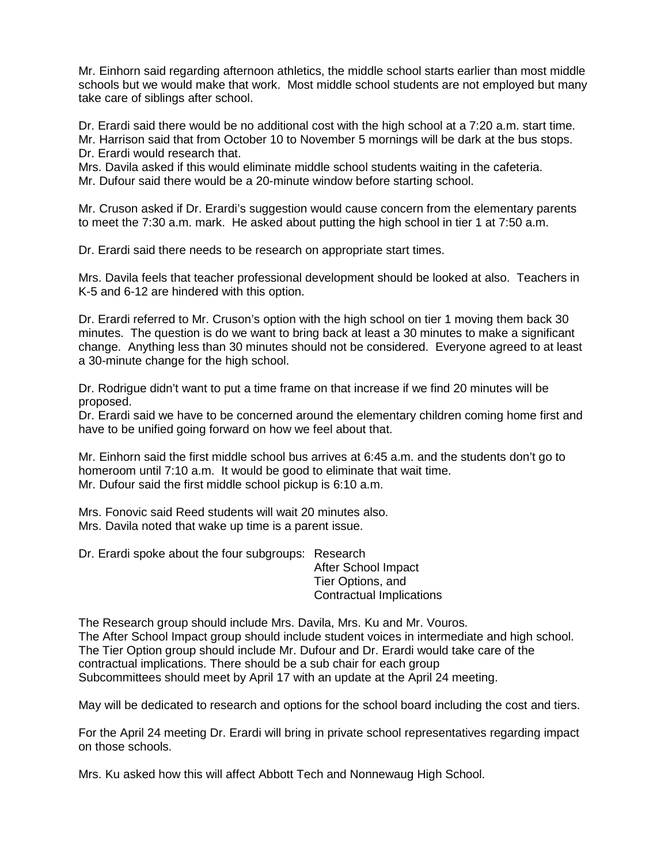Mr. Einhorn said regarding afternoon athletics, the middle school starts earlier than most middle schools but we would make that work. Most middle school students are not employed but many take care of siblings after school.

Dr. Erardi said there would be no additional cost with the high school at a 7:20 a.m. start time. Mr. Harrison said that from October 10 to November 5 mornings will be dark at the bus stops. Dr. Erardi would research that.

Mrs. Davila asked if this would eliminate middle school students waiting in the cafeteria. Mr. Dufour said there would be a 20-minute window before starting school.

Mr. Cruson asked if Dr. Erardi's suggestion would cause concern from the elementary parents to meet the 7:30 a.m. mark. He asked about putting the high school in tier 1 at 7:50 a.m.

Dr. Erardi said there needs to be research on appropriate start times.

Mrs. Davila feels that teacher professional development should be looked at also. Teachers in K-5 and 6-12 are hindered with this option.

Dr. Erardi referred to Mr. Cruson's option with the high school on tier 1 moving them back 30 minutes. The question is do we want to bring back at least a 30 minutes to make a significant change. Anything less than 30 minutes should not be considered. Everyone agreed to at least a 30-minute change for the high school.

Dr. Rodrigue didn't want to put a time frame on that increase if we find 20 minutes will be proposed.

Dr. Erardi said we have to be concerned around the elementary children coming home first and have to be unified going forward on how we feel about that.

Mr. Einhorn said the first middle school bus arrives at 6:45 a.m. and the students don't go to homeroom until 7:10 a.m. It would be good to eliminate that wait time. Mr. Dufour said the first middle school pickup is 6:10 a.m.

Mrs. Fonovic said Reed students will wait 20 minutes also. Mrs. Davila noted that wake up time is a parent issue.

Dr. Erardi spoke about the four subgroups: Research

After School Impact Tier Options, and Contractual Implications

The Research group should include Mrs. Davila, Mrs. Ku and Mr. Vouros. The After School Impact group should include student voices in intermediate and high school. The Tier Option group should include Mr. Dufour and Dr. Erardi would take care of the contractual implications. There should be a sub chair for each group Subcommittees should meet by April 17 with an update at the April 24 meeting.

May will be dedicated to research and options for the school board including the cost and tiers.

For the April 24 meeting Dr. Erardi will bring in private school representatives regarding impact on those schools.

Mrs. Ku asked how this will affect Abbott Tech and Nonnewaug High School.